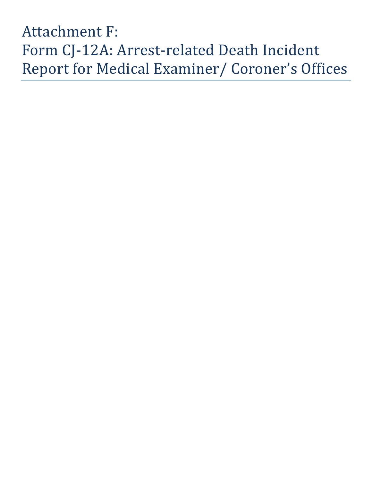## Attachment F: Form CJ-12A: Arrest-related Death Incident Report for Medical Examiner/ Coroner's Offices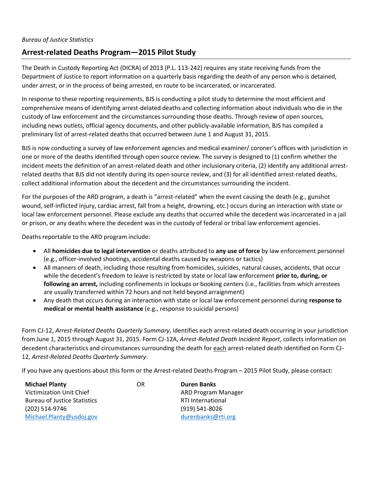## **Arrest-related Deaths Program—2015 Pilot Study**

The Death in Custody Reporting Act (DICRA) of 2013 (P.L. 113-242) requires any state receiving funds from the Department of Justice to report information on a quarterly basis regarding the death of any person who is detained, under arrest, or in the process of being arrested, en route to be incarcerated, or incarcerated.

In response to these reporting requirements, BJS is conducting a pilot study to determine the most efficient and comprehensive means of identifying arrest-delated deaths and collecting information about individuals who die in the custody of law enforcement and the circumstances surrounding those deaths. Through review of open sources, including news outlets, official agency documents, and other publicly-available information, BJS has compiled a preliminary list of arrest-related deaths that occurred between June 1 and August 31, 2015.

BJS is now conducting a survey of law enforcement agencies and medical examiner/ coroner's offices with jurisdiction in one or more of the deaths identified through open source review. The survey is designed to (1) confirm whether the incident meets the definition of an arrest-related death and other inclusionary criteria, (2) identify any additional arrestrelated deaths that BJS did not identify during its open source review, and (3) for all identified arrest-related deaths, collect additional information about the decedent and the circumstances surrounding the incident.

For the purposes of the ARD program, a death is "arrest-related" when the event causing the death (e.g., gunshot wound, self-inflicted injury, cardiac arrest, fall from a height, drowning, etc.) occurs during an interaction with state or local law enforcement personnel. Please exclude any deaths that occurred while the decedent was incarcerated in a jail or prison, or any deaths where the decedent was in the custody of federal or tribal law enforcement agencies.

Deaths reportable to the ARD program include:

- All **homicides due to legal intervention** or deaths attributed to **any use of force** by law enforcement personnel (e.g., officer-involved shootings, accidental deaths caused by weapons or tactics)
- All manners of death, including those resulting from homicides, suicides, natural causes, accidents, that occur while the decedent's freedom to leave is restricted by state or local law enforcement **prior to, during, or following an arrest,** including confinements in lockups or booking centers (i.e., facilities from which arrestees are usually transferred within 72 hours and not held beyond arraignment)
- Any death that occurs during an interaction with state or local law enforcement personnel during **response to medical or mental health assistance** (e.g., response to suicidal persons)

Form CJ-12, *Arrest-Related Deaths Quarterly Summary*, identifies each arrest-related death occurring in your jurisdiction from June 1, 2015 through August 31, 2015. Form CJ-12A, *Arrest-Related Death Incident Report*, collects information on decedent characteristics and circumstances surrounding the death for each arrest-related death identified on Form CJ-12*, Arrest-Related Deaths Quarterly Summary*.

If you have any questions about this form or the Arrest-related Deaths Program – 2015 Pilot Study, please contact:

| <b>Michael Planty</b>               | OR | <b>Duren Banks</b>       |
|-------------------------------------|----|--------------------------|
| Victimization Unit Chief            |    | ARD Program Manager      |
| <b>Bureau of Justice Statistics</b> |    | <b>RTI International</b> |
| (202) 514-9746                      |    | (919) 541-8026           |
| Michael.Planty@usdoj.gov            |    | durenbanks@rti.org       |